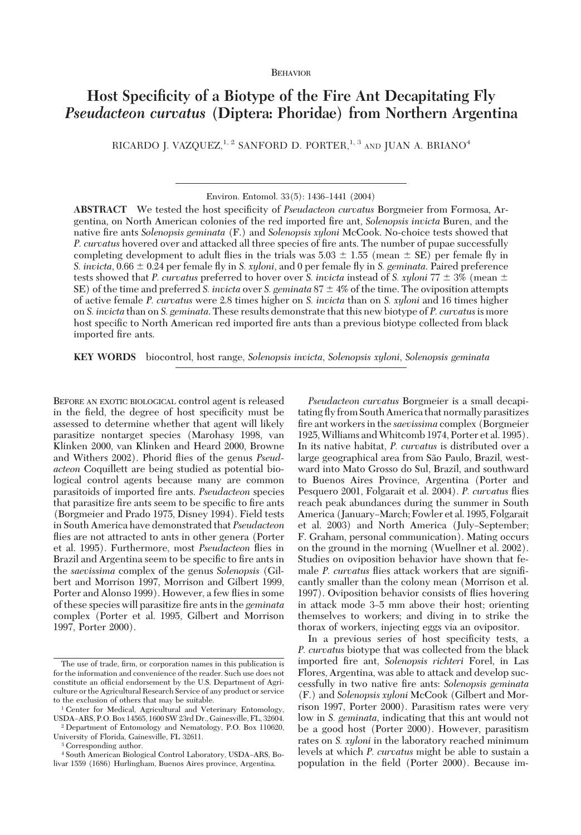# BEHAVIOR

# **Host Specificity of a Biotype of the Fire Ant Decapitating Fly** *Pseudacteon curvatus* **(Diptera: Phoridae) from Northern Argentina**

RICARDO J. VAZQUEZ,<sup>1, 2</sup> SANFORD D. PORTER,<sup>1, 3</sup> AND JUAN A. BRIANO<sup>4</sup>

Environ. Entomol. 33(5): 1436-1441 (2004)

ABSTRACT We tested the host specificity of *Pseudacteon curvatus* Borgmeier from Formosa, Argentina, on North American colonies of the red imported fire ant, *Solenopsis invicta* Buren, and the native fire ants *Solenopsis geminata* (F.) and *Solenopsis xyloni* McCook. No-choice tests showed that *P. curvatus* hovered over and attacked all three species of fire ants. The number of pupae successfully completing development to adult flies in the trials was  $5.03 \pm 1.55$  (mean  $\pm$  SE) per female fly in *S. invicta*, 0.66  $\pm$  0.24 per female fly in *S. xyloni*, and 0 per female fly in *S. geminata*. Paired preference tests showed that *P. curvatus* preferred to hover over *S. invicta* instead of *S. xyloni* 77  $\pm$  3% (mean  $\pm$ SE) of the time and preferred *S. invicta* over *S. geminata*  $87 \pm 4\%$  of the time. The oviposition attempts of active female *P. curvatus* were 2.8 times higher on *S. invicta* than on *S. xyloni* and16 times higher on *S. invicta* than on *S. geminata*. These results demonstrate that this new biotype of *P. curvatus*is more host specific to North American red imported fire ants than a previous biotype collected from black imported fire ants.

**KEY WORDS** biocontrol, host range, *Solenopsis invicta*, *Solenopsis xyloni*, *Solenopsis geminata*

BEFORE AN EXOTIC BIOLOGICAL control agent is released in the field, the degree of host specificity must be assessed to determine whether that agent will likely parasitize nontarget species (Marohasy 1998, van Klinken 2000, van Klinken and Heard 2000, Browne and Withers 2002). Phorid flies of the genus *Pseudacteon* Coquillett are being studied as potential biological control agents because many are common parasitoids of imported fire ants. *Pseudacteon* species that parasitize fire ants seem to be specific to fire ants (Borgmeier and Prado 1975, Disney 1994). Field tests in South America have demonstrated that *Pseudacteon* flies are not attracted to ants in other genera (Porter et al. 1995). Furthermore, most *Pseudacteon* ßies in Brazil and Argentina seem to be specific to fire ants in the *saevissima* complex of the genus *Solenopsis* (Gilbert and Morrison 1997, Morrison and Gilbert 1999, Porter and Alonso 1999). However, a few flies in some of these species will parasitize Þre ants in the *geminata* complex (Porter et al. 1995, Gilbert and Morrison 1997, Porter 2000).

University of Florida, Gainesville, FL 32611.

<sup>3</sup> Corresponding author.

*Pseudacteon curvatus* Borgmeier is a small decapitating ßy from South America that normally parasitizes fire ant workers in the *saevissima* complex (Borgmeier 1925,Williams andWhitcomb 1974, Porter et al. 1995). In its native habitat, *P. curvatus* is distributed over a large geographical area from São Paulo, Brazil, westward into Mato Grosso do Sul, Brazil, and southward to Buenos Aires Province, Argentina (Porter and Pesquero 2001, Folgarait et al. 2004). *P. curvatus* ßies reach peak abundances during the summer in South America (January-March; Fowler et al. 1995, Folgarait et al. 2003) and North America (July–September; F. Graham, personal communication). Mating occurs on the ground in the morning (Wuellner et al. 2002). Studies on oviposition behavior have shown that female *P. curvatus* flies attack workers that are significantly smaller than the colony mean (Morrison et al. 1997). Oviposition behavior consists of ßies hovering in attack mode 3-5 mm above their host; orienting themselves to workers; and diving in to strike the thorax of workers, injecting eggs via an ovipositor.

In a previous series of host specificity tests, a P. curvatus biotype that was collected from the black imported fire ant, *Solenopsis richteri* Forel, in Las Flores, Argentina, was able to attack and develop successfully in two native fire ants: Solenopsis geminata (F.) and *Solenopsis xyloni* McCook (Gilbert and Morrison 1997, Porter 2000). Parasitism rates were very low in *S. geminata,* indicating that this ant would not be a good host (Porter 2000). However, parasitism rates on *S. xyloni* in the laboratory reached minimum levels at which *P. curvatus* might be able to sustain a population in the field (Porter 2000). Because im-

The use of trade, firm, or corporation names in this publication is for the information and convenience of the reader. Such use does not constitute an official endorsement by the U.S. Department of Agriculture or the Agricultural Research Service of any product or service to the exclusion of others that may be suitable.

<sup>&</sup>lt;sup>1</sup> Center for Medical, Agricultural and Veterinary Entomology, USDA-ARS, P.O. Box 14565, 1600 SW 23rd Dr., Gainesville, FL, 32604.  $^2$  Department of Entomology and Nematology, P.O. Box 110620,

<sup>&</sup>lt;sup>4</sup> South American Biological Control Laboratory, USDA-ARS, Bolivar 1559 (1686) Hurlingham, Buenos Aires province, Argentina.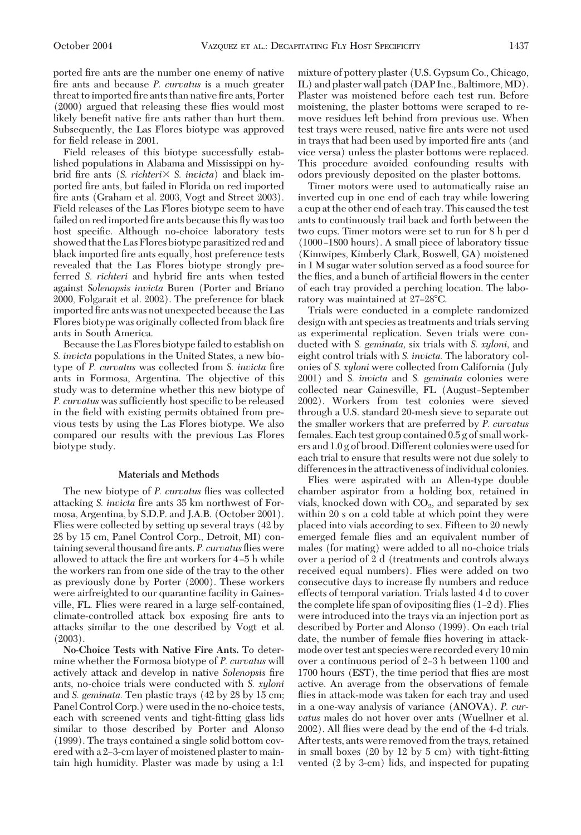ported fire ants are the number one enemy of native fire ants and because *P. curvatus* is a much greater threat to imported fire ants than native fire ants, Porter  $(2000)$  argued that releasing these flies would most likely benefit native fire ants rather than hurt them. Subsequently, the Las Flores biotype was approved for field release in 2001.

Field releases of this biotype successfully established populations in Alabama and Mississippi on hybrid fire ants (*S. richteri* × *S. invicta*) and black imported fire ants, but failed in Florida on red imported fire ants (Graham et al. 2003, Vogt and Street 2003). Field releases of the Las Flores biotype seem to have failed on red imported fire ants because this fly was too host specific. Although no-choice laboratory tests showed that the Las Flores biotype parasitized red and black imported fire ants equally, host preference tests revealed that the Las Flores biotype strongly preferred *S. richteri* and hybrid fire ants when tested against Solenopsis invicta Buren (Porter and Briano 2000, Folgarait et al. 2002). The preference for black imported fire ants was not unexpected because the Las Flores biotype was originally collected from black fire ants in South America.

Because the Las Flores biotype failed to establish on S. *invicta* populations in the United States, a new biotype of *P. curvatus* was collected from *S. invicta* fire ants in Formosa, Argentina. The objective of this study was to determine whether this new biotype of *P. curvatus* was sufficiently host specific to be released in the field with existing permits obtained from previous tests by using the Las Flores biotype. We also compared our results with the previous Las Flores biotype study.

# **Materials and Methods**

The new biotype of *P. curvatus* ßies was collected attacking *S. invicta* fire ants 35 km northwest of Formosa, Argentina, by S.D.P. and J.A.B. (October 2001). Flies were collectedby setting up several trays (42 by 28 by 15 cm, Panel Control Corp., Detroit, MI) containing several thousand fire ants. *P. curvatus* flies were allowed to attack the fire ant workers for 4-5 h while the workers ran from one side of the tray to the other as previously done by Porter (2000). These workers were airfreighted to our quarantine facility in Gainesville, FL. Flies were reared in a large self-contained, climate-controlled attack box exposing fire ants to attacks similar to the one described by Vogt et al. (2003).

**No-Choice Tests with Native Fire Ants.** To determine whether the Formosa biotype of *P. curvatus* will actively attack and develop in native *Solenopsis* fire ants, no-choice trials were conducted with *S. xyloni* and *S. geminata.* Ten plastic trays (42 by 28 by 15 cm; Panel Control Corp.) were used in the no-choice tests, each with screened vents and tight-fitting glass lids similar to those described by Porter and Alonso  $(1999)$ . The trays contained a single solid bottom covered with a 2-3-cm layer of moistened plaster to maintain high humidity. Plaster was made by using a 1:1 mixture of pottery plaster (U.S. Gypsum Co., Chicago, IL) andplaster wall patch (DAP Inc., Baltimore, MD). Plaster was moistened before each test run. Before moistening, the plaster bottoms were scraped to remove residues left behind from previous use. When test trays were reused, native fire ants were not used in trays that had been used by imported fire ants (and vice versa) unless the plaster bottoms were replaced. This procedure avoided confounding results with odors previously deposited on the plaster bottoms.

Timer motors were used to automatically raise an inverted cup in one end of each tray while lowering a cup at the other end of each tray. This caused the test ants to continuously trail back and forth between the two cups. Timer motors were set to run for 8 h per d (1000-1800 hours). A small piece of laboratory tissue (Kimwipes, Kimberly Clark, Roswell, GA) moistened in 1 M sugar water solution served as a food source for the flies, and a bunch of artificial flowers in the center of each tray provided a perching location. The laboratory was maintained at 27–28°C.

Trials were conducted in a complete randomized design with ant species as treatments and trials serving as experimental replication. Seven trials were conducted with *S. geminata,* six trials with *S. xyloni,* and eight control trials with *S. invicta.* The laboratory colonies of *S. xyloni* were collected from California (July 2001) and *S. invicta* and *S. geminata* colonies were collected near Gainesville, FL (August–September 2002). Workers from test colonies were sieved through a U.S. standard 20-mesh sieve to separate out the smaller workers that are preferred by *P. curvatus* females. Each test group contained 0.5 g of small workers and1.0 g of brood. Different colonies were usedfor each trial to ensure that results were not due solely to differences in the attractiveness of individual colonies.

Flies were aspirated with an Allen-type double chamber aspirator from a holding box, retained in vials, knocked down with  $CO<sub>2</sub>$ , and separated by sex within 20 s on a cold table at which point they were placedinto vials according to sex. Fifteen to 20 newly emerged female flies and an equivalent number of males (for mating) were added to all no-choice trials over a period of 2 d (treatments and controls always received equal numbers). Flies were added on two consecutive days to increase ßy numbers and reduce effects of temporal variation. Trials lasted 4 d to cover the complete life span of ovipositing flies  $(1-2d)$ . Flies were introduced into the trays via an injection port as described by Porter and Alonso (1999). On each trial date, the number of female ßies hovering in attackmode over test ant species were recorded every 10 min over a continuous period of 2–3 h between 1100 and 1700 hours (EST), the time period that flies are most active. An average from the observations of female flies in attack-mode was taken for each tray and used in a one-way analysis of variance (ANOVA). *P. curvatus* males do not hover over ants (Wuellner et al. 2002). All flies were dead by the end of the 4-d trials. After tests, ants were removed from the trays, retained in small boxes  $(20 \text{ by } 12 \text{ by } 5 \text{ cm})$  with tight-fitting vented  $(2 \text{ by } 3\text{-cm})$  lids, and inspected for pupating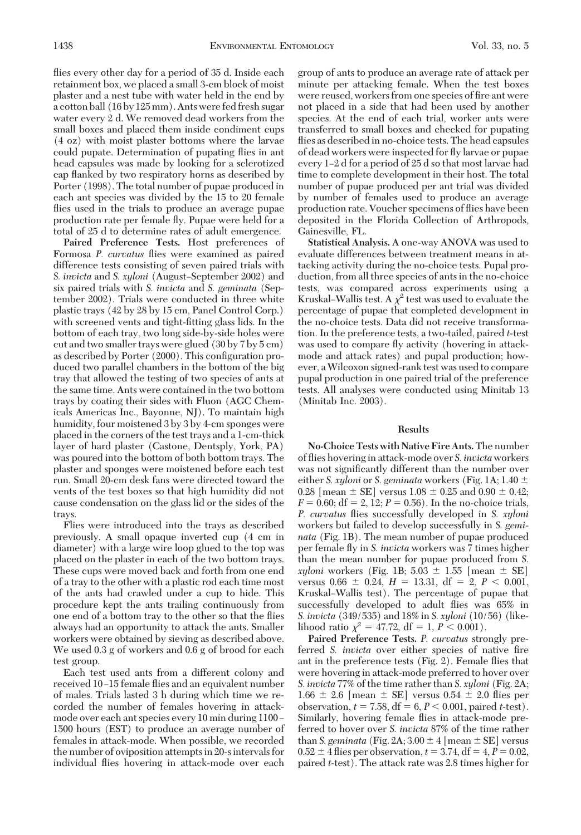flies every other day for a period of 35 d. Inside each retainment box, we placeda small 3-cm block of moist plaster and a nest tube with water held in the end by a cotton ball (16 by 125 mm). Ants were fedfresh sugar water every 2 d. We removed dead workers from the small boxes and placed them inside condiment cups (4 oz) with moist plaster bottoms where the larvae could pupate. Determination of pupating flies in ant head capsules was made by looking for a sclerotized cap flanked by two respiratory horns as described by Porter (1998). The total number of pupae produced in each ant species was divided by the 15 to 20 female flies used in the trials to produce an average pupae production rate per female ßy. Pupae were held for a total of 25 d to determine rates of adult emergence.

**Paired Preference Tests.** Host preferences of Formosa *P. curvatus* flies were examined as paired difference tests consisting of seven paired trials with *S. invicta* and *S. xyloni* (August-September 2002) and six paired trials with *S. invicta* and *S. geminata* (September 2002). Trials were conducted in three white plastic trays (42 by 28 by 15 cm, Panel Control Corp.) with screened vents and tight-fitting glass lids. In the bottom of each tray, two long side-by-side holes were cut and two smaller trays were glued (30 by 7 by 5 cm) as described by Porter (2000). This configuration produced two parallel chambers in the bottom of the big tray that allowed the testing of two species of ants at the same time. Ants were contained in the two bottom trays by coating their sides with Fluon (AGC Chemicals Americas Inc., Bayonne, NJ). To maintain high humidity, four moistened 3 by 3 by 4-cm sponges were placedin the corners of the test trays anda 1-cm-thick layer of hard plaster (Castone, Dentsply, York, PA) was poured into the bottom of both bottom trays. The plaster and sponges were moistened before each test run. Small 20-cm desk fans were directed toward the vents of the test boxes so that high humidity did not cause condensation on the glass lid or the sides of the trays.

Flies were introduced into the trays as described previously. A small opaque inverted cup (4 cm in diameter) with a large wire loop glued to the top was placed on the plaster in each of the two bottom trays. These cups were moved back and forth from one end of a tray to the other with a plastic rodeach time most of the ants had crawled under a cup to hide. This procedure kept the ants trailing continuously from one end of a bottom tray to the other so that the flies always had an opportunity to attack the ants. Smaller workers were obtained by sieving as described above. We used  $0.3$  g of workers and  $0.6$  g of brood for each test group.

Each test used ants from a different colony and received 10-15 female flies and an equivalent number of males. Trials lasted3 h during which time we recorded the number of females hovering in attackmode over each ant species every 10 min during 1100 – 1500 hours (EST) to produce an average number of females in attack-mode. When possible, we recorded the number of oviposition attemptsin 20-sintervals for individual ßies hovering in attack-mode over each

group of ants to produce an average rate of attack per minute per attacking female. When the test boxes were reused, workers from one species of fire ant were not placed in a side that had been used by another species. At the end of each trial, worker ants were transferred to small boxes and checked for pupating flies as described in no-choice tests. The head capsules of dead workers were inspected for fly larvae or pupae every 1–2 d for a period of 25 d so that most larvae had time to complete development in their host. The total number of pupae produced per ant trial was divided by number of females used to produce an average production rate. Voucher specimens of ßies have been deposited in the Florida Collection of Arthropods, Gainesville, FL.

Statistical Analysis. A one-way ANOVA was used to evaluate differences between treatment means in attacking activity during the no-choice tests. Pupal production, from all three species of ants in the no-choice tests, was compared across experiments using a Kruskal–Wallis test. A  $\chi^2$  test was used to evaluate the percentage of pupae that completed development in the no-choice tests. Data did not receive transformation. In the preference tests, a two-tailed, paired *t*-test was used to compare fly activity (hovering in attackmode and attack rates) and pupal production; however, aWilcoxon signed-rank test was used to compare pupal production in one paired trial of the preference tests. All analyses were conducted using Minitab 13 (Minitab Inc. 2003).

#### **Results**

**No-Choice Tests with Native Fire Ants.**The number of ßies hovering in attack-mode over *S. invicta*workers was not significantly different than the number over either *S. xyloni* or *S. geminata* workers (Fig. 1A; 1.40 0.28 [mean  $\pm$  SE] versus 1.08  $\pm$  0.25 and 0.90  $\pm$  0.42;  $F = 0.60$ ; df = 2, 12;  $P = 0.56$ ). In the no-choice trials, *P. curvatus* ßies successfully developed in *S. xyloni* workers but failed to develop successfully in *S. geminata* (Fig. 1B). The mean number of pupae produced per female ßy in *S. invicta* workers was 7 times higher than the mean number for pupae produced from *S.*  $xyloni$  workers (Fig. 1B; 5.03  $\pm$  1.55 [mean  $\pm$  SE] versus  $0.66 \pm 0.24$ ,  $H = 13.31$ , df = 2,  $P < 0.001$ , Kruskal–Wallis test). The percentage of pupae that successfully developed to adult ßies was 65% in *S. invicta* (349/535) and18% in *S. xyloni* (10/56) (likelihood ratio  $\chi^2 = 47.72$ , df = 1, *P* < 0.001).

**Paired Preference Tests.** *P. curvatus* strongly preferred *S. invicta* over either species of native fire ant in the preference tests (Fig. 2). Female ßies that were hovering in attack-mode preferred to hover over *S. invicta* 77% of the time rather than *S. xyloni* (Fig. 2A;  $1.66 \pm 2.6$  [mean  $\pm$  SE] versus 0.54  $\pm$  2.0 flies per observation,  $t = 7.58$ ,  $df = 6$ ,  $P < 0.001$ , paired *t*-test). Similarly, hovering female ßies in attack-mode preferred to hover over *S. invicta* 87% of the time rather than *S. geminata* (Fig. 2A;  $3.00 \pm 4$  [mean  $\pm$  SE] versus  $0.52 \pm 4$  flies per observation,  $t = 3.74$ , df = 4,  $P = 0.02$ , paired *t*-test). The attack rate was 2.8 times higher for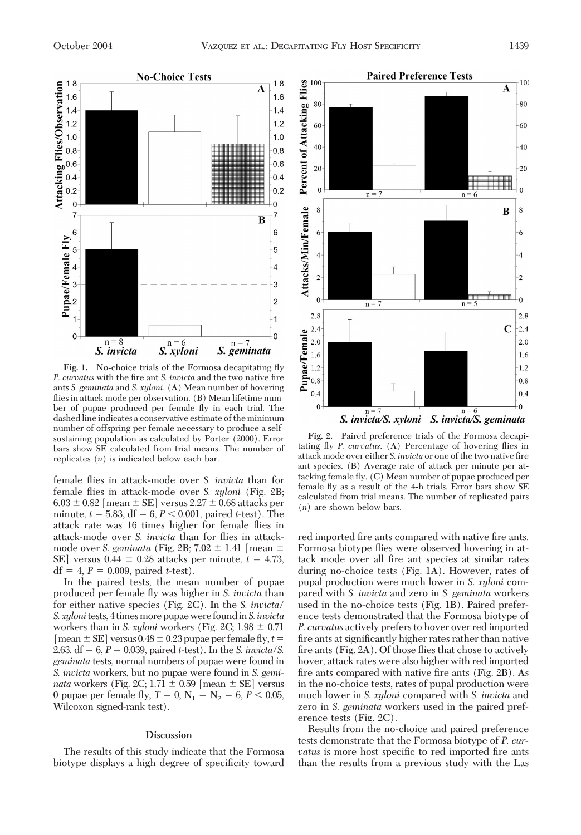

**Fig. 1.** No-choice trials of the Formosa decapitating ßy *P. curvatus* with the fire ant *S. invicta* and the two native fire ants *S. geminata* and *S. xyloni*. (A) Mean number of hovering flies in attack mode per observation. (B) Mean lifetime number of pupae produced per female ßy in each trial. The dashed line indicates a conservative estimate of the minimum number of offspring per female necessary to produce a selfsustaining population as calculated by Porter (2000). Error bars show SE calculated from trial means. The number of replicates (*n*) is indicated below each bar.

female ßies in attack-mode over *S. invicta* than for female ßies in attack-mode over *S. xyloni* (Fig. 2B;  $6.03 \pm 0.82$  [mean  $\pm$  SE] versus 2.27  $\pm$  0.68 attacks per minute,  $t = 5.83$ ,  $df = 6$ ,  $P < 0.001$ , paired *t*-test). The attack rate was 16 times higher for female ßies in attack-mode over *S. invicta* than for ßies in attackmode over *S. geminata* (Fig. 2B;  $7.02 \pm 1.41$  [mean  $\pm$ SE] versus  $0.44 \pm 0.28$  attacks per minute,  $t = 4.73$ ,  $df = 4, P = 0.009$ , paired *t*-test).

In the paired tests, the mean number of pupae produced per female ßy was higher in *S. invicta* than for either native species (Fig. 2C). In the *S. invicta/ S.xyloni*tests, 4 timesmorepupaewere foundin*S. invicta* workers than in *S. xyloni* workers (Fig. 2C;  $1.98 \pm 0.71$  $[mean \pm SE]$  versus  $0.48 \pm 0.23$  pupae per female fly,  $t =$ 2.63. df  $= 6, P = 0.039$ , paired *t*-test). In the *S. invicta/S. geminata* tests, normal numbers of pupae were found in S. *invicta* workers, but no pupae were found in *S. geminata* workers (Fig. 2C;  $1.71 \pm 0.59$  [mean  $\pm$  SE] versus 0 pupae per female fly,  $T = 0$ ,  $N_1 = N_2 = 6$ ,  $P < 0.05$ , Wilcoxon signed-rank test).

# **Discussion**

The results of this study indicate that the Formosa biotype displays a high degree of specificity toward



Fig. 2. Paired preference trials of the Formosa decapitating ßy *P. curvatus*. (A) Percentage of hovering ßies in attack mode over either *S. invicta* or one of the two native fire ant species. (B) Average rate of attack per minute per attacking female ßy. (C) Mean number of pupae produced per female ßy as a result of the 4-h trials. Error bars show SE calculated from trial means. The number of replicated pairs (*n*) are shown below bars.

red imported fire ants compared with native fire ants. Formosa biotype flies were observed hovering in attack mode over all fire ant species at similar rates during no-choice tests (Fig. 1A). However, rates of pupal production were much lower in *S. xyloni* compared with *S. invicta* and zero in *S. geminata* workers used in the no-choice tests (Fig. 1B). Paired preference tests demonstrated that the Formosa biotype of *P. curvatus* actively prefers to hover over redimported fire ants at significantly higher rates rather than native fire ants (Fig. 2A). Of those flies that chose to actively hover, attack rates were also higher with redimported fire ants compared with native fire ants  $(Fig. 2B)$ . As in the no-choice tests, rates of pupal production were much lower in *S. xyloni* compared with *S. invicta* and zero in *S. geminata* workers used in the paired preference tests (Fig. 2C).

Results from the no-choice and paired preference tests demonstrate that the Formosa biotype of *P. curvatus* is more host specific to red imported fire ants than the results from a previous study with the Las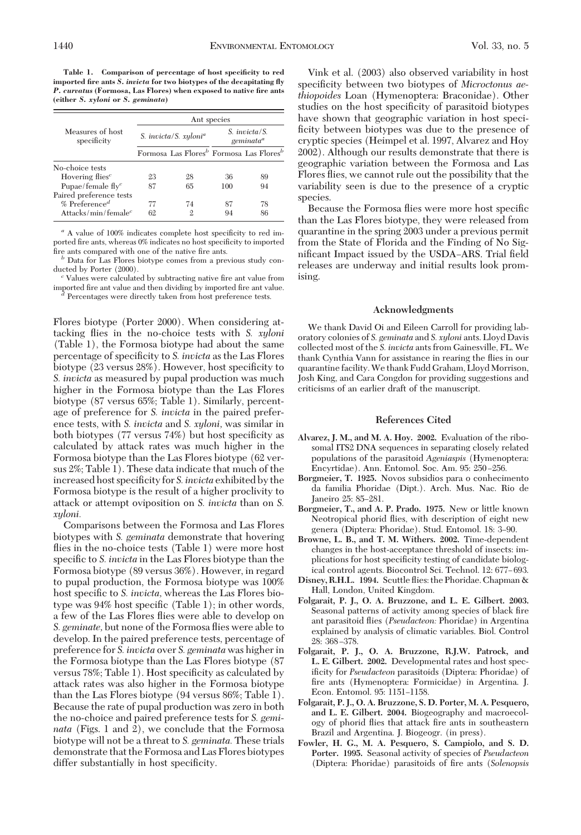**Table 1. Comparison of percentage of host specificity to red imported fire ants** *S. invicta* **for two biotypes of the decapitating fly** *P. curvatus* **(Formosa, Las Flores) when exposed to native fire ants (either** *S. xyloni* **or** *S. geminata***)**

| Measures of host<br>specificity          | Ant species              |                                                                 |                                                   |    |
|------------------------------------------|--------------------------|-----------------------------------------------------------------|---------------------------------------------------|----|
|                                          | S. invicta/S. $xyloni^a$ |                                                                 | S. <i>invicta</i> /S.<br>$g$ eminata <sup>a</sup> |    |
|                                          |                          | Formosa Las Flores <sup>b</sup> Formosa Las Flores <sup>b</sup> |                                                   |    |
| No-choice tests                          |                          |                                                                 |                                                   |    |
| Hovering flies <sup><math>c</math></sup> | 23                       | 28                                                              | 36                                                | 89 |
| Pupae/female $flyc$                      | 87                       | 65                                                              | 100                                               | 94 |
| Paired preference tests                  |                          |                                                                 |                                                   |    |
| $%$ Preference <sup>d</sup>              | 77                       | 74                                                              | 87                                                | 78 |
| Attacks/min/female <sup>c</sup>          | 62                       |                                                                 | 94                                                | 86 |

<sup>a</sup> A value of 100% indicates complete host specificity to red imported fire ants, whereas 0% indicates no host specificity to imported

fire ants compared with one of the native fire ants. *b* Data for Las Flores biotype comes from a previous study conducted by Porter (2000).<br><sup>*c*</sup> Values were calculated by subtracting native fire ant value from

importedÞre ant value andthen dividing by importedÞre ant value. *<sup>d</sup>* Percentages were directly taken from host preference tests.

Flores biotype (Porter 2000). When considering attacking ßies in the no-choice tests with *S. xyloni* (Table 1), the Formosa biotype had about the same percentage of specificity to *S. invicta* as the Las Flores biotype (23 versus 28%). However, host specificity to *S. invicta* as measured by pupal production was much higher in the Formosa biotype than the Las Flores biotype (87 versus 65%; Table 1). Similarly, percentage of preference for *S. invicta* in the paired preference tests, with *S. invicta* and *S. xyloni,* was similar in both biotypes (77 versus 74%) but host specificity as calculated by attack rates was much higher in the Formosa biotype than the Las Flores biotype (62 versus 2%; Table 1). These data indicate that much of the increased host specificity for *S. invicta* exhibited by the Formosa biotype is the result of a higher proclivity to attack or attempt oviposition on *S. invicta* than on *S. xyloni.*

Comparisons between the Formosa andLas Flores biotypes with *S. geminata* demonstrate that hovering flies in the no-choice tests (Table 1) were more host specific to *S. invicta* in the Las Flores biotype than the Formosa biotype (89 versus 36%). However, in regard to pupal production, the Formosa biotype was 100% host specific to *S. invicta*, whereas the Las Flores biotype was  $94\%$  host specific (Table 1); in other words, a few of the Las Flores ßies were able to develop on *S. geminate,* but none of the Formosa ßies were able to develop. In the paired preference tests, percentage of preference for *S. invicta* over *S. geminata* was higher in the Formosa biotype than the Las Flores biotype (87 versus 78%; Table 1). Host specificity as calculated by attack rates was also higher in the Formosa biotype than the Las Flores biotype (94 versus 86%; Table 1). Because the rate of pupal production was zero in both the no-choice and paired preference tests for *S. geminata* (Figs. 1 and 2), we conclude that the Formosa biotype will not be a threat to *S. geminata.* These trials demonstrate that the Formosa and Las Flores biotypes differ substantially in host specificity.

Vink et al. (2003) also observed variability in host specificity between two biotypes of *Microctonus aethiopoides* Loan (Hymenoptera: Braconidae). Other studies on the host specificity of parasitoid biotypes have shown that geographic variation in host specificity between biotypes was due to the presence of cryptic species (Heimpel et al. 1997, Alvarez and Hoy 2002). Although our results demonstrate that there is geographic variation between the Formosa andLas Flores ßies, we cannot rule out the possibility that the variability seen is due to the presence of a cryptic species.

Because the Formosa flies were more host specific than the Las Flores biotype, they were released from quarantine in the spring 2003 under a previous permit from the State of Florida and the Finding of No Significant Impact issued by the USDA–ARS. Trial field releases are underway and initial results look promising.

# **Acknowledgments**

We thank David Oi and Eileen Carroll for providing laboratory colonies of *S. geminata* and *S. xyloni* ants. LloydDavis collectedmost of the *S. invicta* ants from Gainesville, FL. We thank Cynthia Vann for assistance in rearing the ßies in our quarantine facility. We thank Fudd Graham, Lloyd Morrison, Josh King, and Cara Congdon for providing suggestions and criticisms of an earlier draft of the manuscript.

### **References Cited**

- **Alvarez, J. M., and M. A. Hoy. 2002.** Evaluation of the ribosomal ITS2 DNA sequences in separating closely related populations of the parasitoid *Ageniaspis* (Hymenoptera: Encyrtidae). Ann. Entomol. Soc. Am. 95: 250–256.
- **Borgmeier, T. 1925.** Novos subsidios para o conhecimento da familia Phoridae (Dipt.). Arch. Mus. Nac. Rio de Janeiro 25: 85-281.
- **Borgmeier, T., and A. P. Prado. 1975.** New or little known Neotropical phorid flies, with description of eight new genera (Diptera: Phoridae). Stud. Entomol. 18: 3-90.
- **Browne, L. B., and T. M. Withers. 2002.** Time-dependent changes in the host-acceptance threshold of insects: implications for host specificity testing of candidate biological control agents. Biocontrol Sci. Technol. 12: 677–693.
- **Disney, R.H.L. 1994.** Scuttle ßies: the Phoridae. Chapman & Hall, London, United Kingdom.
- **Folgarait, P. J., O. A. Bruzzone, and L. E. Gilbert. 2003.** Seasonal patterns of activity among species of black fire ant parasitoid flies (*Pseudacteon:* Phoridae) in Argentina explained by analysis of climatic variables. Biol. Control 28: 368-378.
- **Folgarait, P. J., O. A. Bruzzone, R.J.W. Patrock, and L. E. Gilbert. 2002.** Developmental rates and host specificity for *Pseudacteon* parasitoids (Diptera: Phoridae) of fire ants (Hymenoptera: Formicidae) in Argentina. J. Econ. Entomol. 95: 1151-1158.
- **Folgarait, P. J., O. A. Bruzzone, S. D. Porter, M. A. Pesquero,** and L. E. Gilbert. 2004. Biogeography and macroecology of phorid flies that attack fire ants in southeastern Brazil and Argentina. J. Biogeogr. (in press).
- **Fowler, H. G., M. A. Pesquero, S. Campiolo, and S. D. Porter. 1995.** Seasonal activity of species of *Pseudacteon* (Diptera: Phoridae) parasitoids of Þre ants (*Solenopsis*